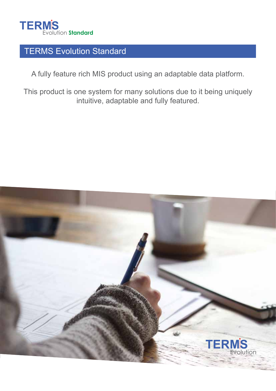

# TERMS Evolution Standard

A fully feature rich MIS product using an adaptable data platform.

This product is one system for many solutions due to it being uniquely intuitive, adaptable and fully featured.

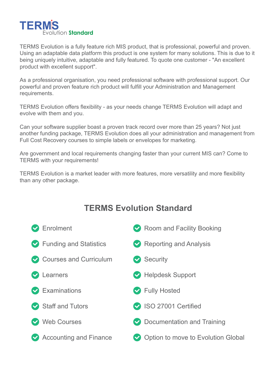

TERMS Evolution is a fully feature rich MIS product, that is professional, powerful and proven. Using an adaptable data platform this product is one system for many solutions. This is due to it being uniquely intuitive, adaptable and fully featured. To quote one customer - "An excellent product with excellent support".

As a professional organisation, you need professional software with professional support. Our powerful and proven feature rich product will fulfill your Administration and Management requirements.

TERMS Evolution offers flexibility - as your needs change TERMS Evolution will adapt and evolve with them and you.

Can your software supplier boast a proven track record over more than 25 years? Not just another funding package, TERMS Evolution does all your administration and management from Full Cost Recovery courses to simple labels or envelopes for marketing.

Are government and local requirements changing faster than your current MIS can? Come to TERMS with your requirements!

TERMS Evolution is a market leader with more features, more versatility and more flexibility than any other package.

# **TERMS Evolution Standard**

| Enrolment                     | Room and Facility Booking          |
|-------------------------------|------------------------------------|
| ◆ Funding and Statistics      | Reporting and Analysis             |
| Courses and Curriculum        | $\triangleright$ Security          |
| Learners                      | Helpdesk Support                   |
| $\triangleright$ Examinations | ◆ Fully Hosted                     |
| Staff and Tutors              | SO 27001 Certified                 |
| <b>Web Courses</b>            | O Documentation and Training       |
| Accounting and Finance        | Option to move to Evolution Global |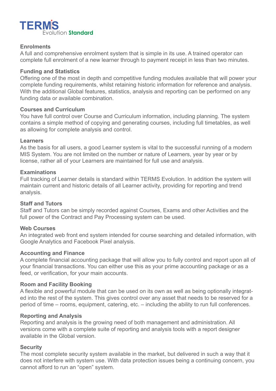

#### **Enrolments**

A full and comprehensive enrolment system that is simple in its use. A trained operator can complete full enrolment of a new learner through to payment receipt in less than two minutes.

### **Funding and Statistics**

Offering one of the most in depth and competitive funding modules available that will power your complete funding requirements, whilst retaining historic information for reference and analysis. With the additional Global features, statistics, analysis and reporting can be performed on any funding data or available combination.

#### **Courses and Curriculum**

You have full control over Course and Curriculum information, including planning. The system contains a simple method of copying and generating courses, including full timetables, as well as allowing for complete analysis and control.

### **Learners**

As the basis for all users, a good Learner system is vital to the successful running of a modern MIS System. You are not limited on the number or nature of Learners, year by year or by license, rather all of your Learners are maintained for full use and analysis.

### **Examinations**

Full tracking of Learner details is standard within TERMS Evolution. In addition the system will maintain current and historic details of all Learner activity, providing for reporting and trend analysis.

#### **Staff and Tutors**

Staff and Tutors can be simply recorded against Courses, Exams and other Activities and the full power of the Contract and Pay Processing system can be used.

### **Web Courses**

An integrated web front end system intended for course searching and detailed information, with Google Analytics and Facebook Pixel analysis.

#### **Accounting and Finance**

A complete financial accounting package that will allow you to fully control and report upon all of your financial transactions. You can either use this as your prime accounting package or as a feed, or verification, for your main accounts.

### **Room and Facility Booking**

A flexible and powerful module that can be used on its own as well as being optionally integrated into the rest of the system. This gives control over any asset that needs to be reserved for a period of time – rooms, equipment, catering, etc. – including the ability to run full conferences.

#### **Reporting and Analysis**

Reporting and analysis is the growing need of both management and administration. All versions come with a complete suite of reporting and analysis tools with a report designer available in the Global version.

### **Security**

The most complete security system available in the market, but delivered in such a way that it does not interfere with system use. With data protection issues being a continuing concern, you cannot afford to run an "open" system.